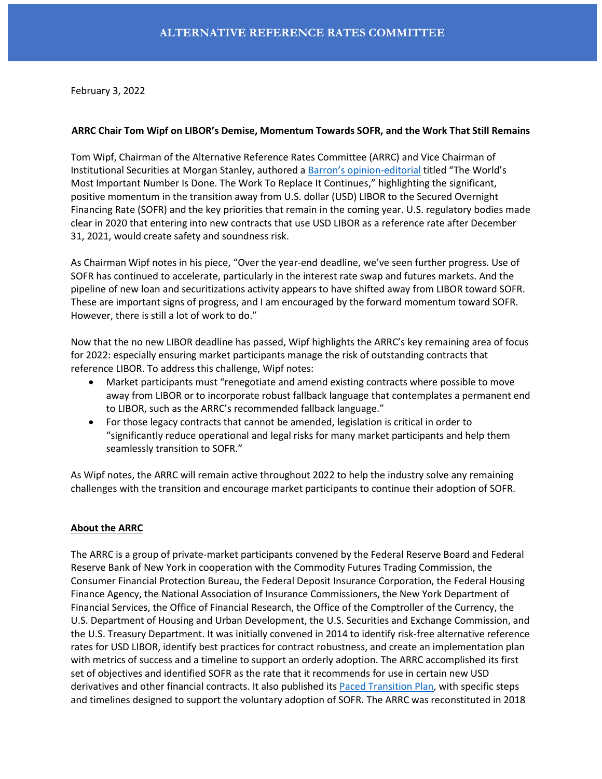February 3, 2022

### **ARRC Chair Tom Wipf on LIBOR's Demise, Momentum Towards SOFR, and the Work That Still Remains**

Tom Wipf, Chairman of the Alternative Reference Rates Committee (ARRC) and Vice Chairman of Institutional Securities at Morgan Stanley, authored a [Barron's opinion](https://www.barrons.com/articles/the-worlds-most-important-number-is-done-the-work-to-replace-it-continues-51643834226)-editorial titled "The World's Most Important Number Is Done. The Work To Replace It Continues," highlighting the significant, positive momentum in the transition away from U.S. dollar (USD) LIBOR to the Secured Overnight Financing Rate (SOFR) and the key priorities that remain in the coming year. U.S. regulatory bodies made clear in 2020 that entering into new contracts that use USD LIBOR as a reference rate after December 31, 2021, would create safety and soundness risk.

As Chairman Wipf notes in his piece, "Over the year-end deadline, we've seen further progress. Use of SOFR has continued to accelerate, particularly in the interest rate swap and futures markets. And the pipeline of new loan and securitizations activity appears to have shifted away from LIBOR toward SOFR. These are important signs of progress, and I am encouraged by the forward momentum toward SOFR. However, there is still a lot of work to do."

Now that the no new LIBOR deadline has passed, Wipf highlights the ARRC's key remaining area of focus for 2022: especially ensuring market participants manage the risk of outstanding contracts that reference LIBOR. To address this challenge, Wipf notes:

- Market participants must "renegotiate and amend existing contracts where possible to move away from LIBOR or to incorporate robust fallback language that contemplates a permanent end to LIBOR, such as the ARRC's recommended fallback language."
- For those legacy contracts that cannot be amended, legislation is critical in order to "significantly reduce operational and legal risks for many market participants and help them seamlessly transition to SOFR."

As Wipf notes, the ARRC will remain active throughout 2022 to help the industry solve any remaining challenges with the transition and encourage market participants to continue their adoption of SOFR.

# **About the ARRC**

The ARRC is a group of private-market participants convened by the Federal Reserve Board and Federal Reserve Bank of New York in cooperation with the Commodity Futures Trading Commission, the Consumer Financial Protection Bureau, the Federal Deposit Insurance Corporation, the Federal Housing Finance Agency, the National Association of Insurance Commissioners, the New York Department of Financial Services, the Office of Financial Research, the Office of the Comptroller of the Currency, the U.S. Department of Housing and Urban Development, the U.S. Securities and Exchange Commission, and the U.S. Treasury Department. It was initially convened in 2014 to identify risk-free alternative reference rates for USD LIBOR, identify best practices for contract robustness, and create an implementation plan with metrics of success and a timeline to support an orderly adoption. The ARRC accomplished its first set of objectives and identified SOFR as the rate that it recommends for use in certain new USD derivatives and other financial contracts. It also published its [Paced Transition Plan,](https://www.newyorkfed.org/arrc/sofr-transition#pacedtransition) with specific steps and timelines designed to support the voluntary adoption of SOFR. The ARRC was reconstituted in 2018